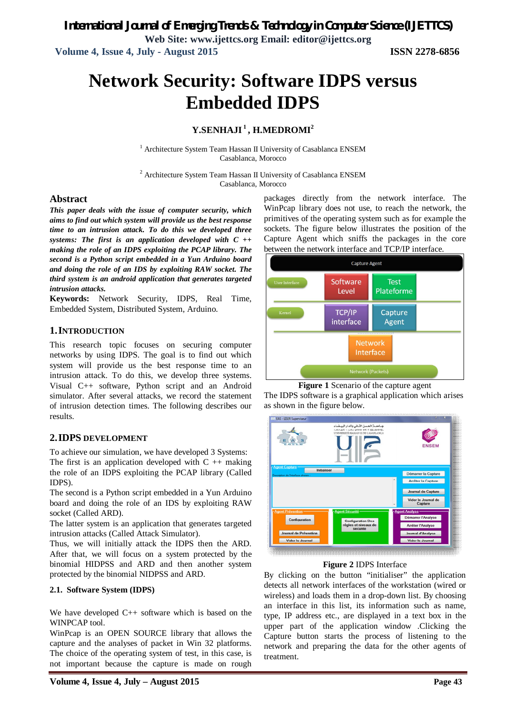*International Journal of Emerging Trends & Technology in Computer Science (IJETTCS)*

**Web Site: www.ijettcs.org Email: editor@ijettcs.org Volume 4, Issue 4, July - August 2015 ISSN 2278-6856**

# **Network Security: Software IDPS versus Embedded IDPS**

### **Y.SENHAJI <sup>1</sup> , H.MEDROMI<sup>2</sup>**

<sup>1</sup> Architecture System Team Hassan II University of Casablanca ENSEM Casablanca, Morocco

<sup>2</sup> Architecture System Team Hassan II University of Casablanca ENSEM Casablanca, Morocco

#### **Abstract**

*This paper deals with the issue of computer security, which aims to find out which system will provide us the best response time to an intrusion attack. To do this we developed three systems: The first is an application developed with C ++ making the role of an IDPS exploiting the PCAP library. The second is a Python script embedded in a Yun Arduino board and doing the role of an IDS by exploiting RAW socket. The third system is an android application that generates targeted intrusion attacks.*

**Keywords:** Network Security, IDPS, Real Time, Embedded System, Distributed System, Arduino.

#### **1.INTRODUCTION**

This research topic focuses on securing computer networks by using IDPS. The goal is to find out which system will provide us the best response time to an intrusion attack. To do this, we develop three systems. Visual C++ software, Python script and an Android simulator. After several attacks, we record the statement of intrusion detection times. The following describes our results.

#### **2.IDPS DEVELOPMENT**

To achieve our simulation, we have developed 3 Systems: The first is an application developed with  $C +$  + making the role of an IDPS exploiting the PCAP library (Called IDPS).

The second is a Python script embedded in a Yun Arduino board and doing the role of an IDS by exploiting RAW socket (Called ARD).

The latter system is an application that generates targeted intrusion attacks (Called Attack Simulator).

Thus, we will initially attack the IDPS then the ARD. After that, we will focus on a system protected by the binomial HIDPSS and ARD and then another system protected by the binomial NIDPSS and ARD.

#### **2.1. Software System (IDPS)**

We have developed C++ software which is based on the WINPCAP tool.

WinPcap is an OPEN SOURCE library that allows the capture and the analyses of packet in Win 32 platforms. The choice of the operating system of test, in this case, is not important because the capture is made on rough packages directly from the network interface. The WinPcap library does not use, to reach the network, the primitives of the operating system such as for example the sockets. The figure below illustrates the position of the Capture Agent which sniffs the packages in the core between the network interface and TCP/IP interface.



**Figure 1** Scenario of the capture agent

The IDPS software is a graphical application which arises as shown in the figure below.



#### **Figure 2** IDPS Interface

By clicking on the button "initialiser" the application detects all network interfaces of the workstation (wired or wireless) and loads them in a drop-down list. By choosing an interface in this list, its information such as name, type, IP address etc., are displayed in a text box in the upper part of the application window .Clicking the Capture button starts the process of listening to the network and preparing the data for the other agents of treatment.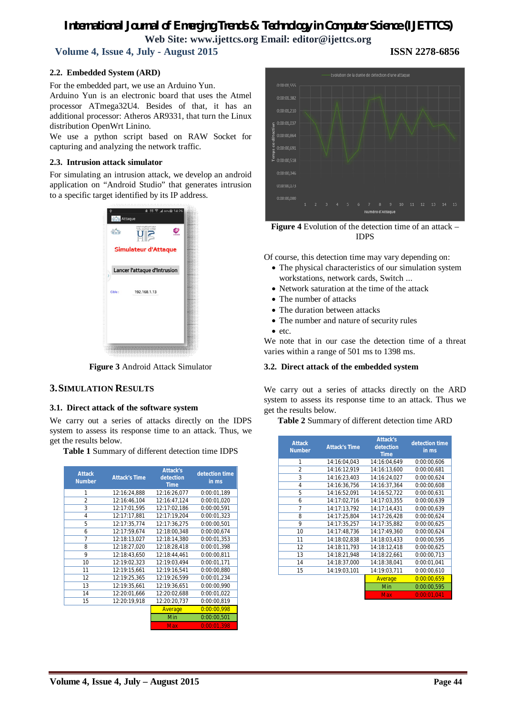**Volume 4, Issue 4, July - August 2015 ISSN 2278-6856**

#### **2.2. Embedded System (ARD)**

For the embedded part, we use an Arduino Yun.

Arduino Yun is an electronic board that uses the Atmel processor ATmega32U4. Besides of that, it has an additional processor: Atheros AR9331, that turn the Linux distribution OpenWrt Linino.

We use a python script based on RAW Socket for capturing and analyzing the network traffic.

#### **2.3. Intrusion attack simulator**

For simulating an intrusion attack, we develop an android application on "Android Studio" that generates intrusion to a specific target identified by its IP address.



**Figure 3** Android Attack Simulator

#### **3.SIMULATION RESULTS**

#### **3.1. Direct attack of the software system**

We carry out a series of attacks directly on the IDPS system to assess its response time to an attack. Thus, we get the results below.

**Table 1** Summary of different detection time IDPS

| <b>Attack</b><br><b>Number</b> | <b>Attack's Time</b> | <b>Attack's</b><br>detection<br><b>Time</b> | detection time<br>in ms |
|--------------------------------|----------------------|---------------------------------------------|-------------------------|
| 1                              | 12:16:24,888         | 12:16:26.077                                | 0:00:01.189             |
| $\overline{2}$                 | 12:16:46,104         | 12:16:47,124                                | 0:00:01,020             |
| 3                              | 12:17:01,595         | 12:17:02,186                                | 0:00:00,591             |
| 4                              | 12:17:17.881         | 12:17:19.204                                | 0:00:01.323             |
| 5                              | 12:17:35,774         | 12:17:36,275                                | 0:00:00,501             |
| 6                              | 12:17:59,674         | 12:18:00,348                                | 0:00:00,674             |
| 7                              | 12:18:13.027         | 12:18:14.380                                | 0:00:01.353             |
| 8                              | 12:18:27.020         | 12:18:28.418                                | 0:00:01.398             |
| 9                              | 12:18:43,650         | 12:18:44,461                                | 0:00:00,811             |
| 10                             | 12:19:02,323         | 12:19:03,494                                | 0:00:01,171             |
| 11                             | 12:19:15,661         | 12:19:16,541                                | 0:00:00,880             |
| 12                             | 12:19:25,365         | 12:19:26,599                                | 0:00:01,234             |
| 13                             | 12:19:35.661         | 12:19:36.651                                | 0:00:00.990             |
| 14                             | 12:20:01,666         | 12:20:02,688                                | 0:00:01,022             |
| 15                             | 12:20:19.918         | 12:20:20.737                                | 0:00:00,819             |
|                                |                      | Average                                     | 0:00:00.998             |
|                                |                      | Min                                         | 0:00:00.501             |
|                                |                      | <b>Max</b>                                  | 0:00:01.398             |



**Figure 4** Evolution of the detection time of an attack – IDPS

Of course, this detection time may vary depending on:

- The physical characteristics of our simulation system workstations, network cards, Switch ...
- Network saturation at the time of the attack
- The number of attacks
- The duration between attacks
- The number and nature of security rules
- $e$  etc.

We note that in our case the detection time of a threat varies within a range of 501 ms to 1398 ms.

#### **3.2. Direct attack of the embedded system**

We carry out a series of attacks directly on the ARD system to assess its response time to an attack. Thus we get the results below.

**Table 2** Summary of different detection time ARD

| <b>Attack</b><br><b>Number</b> | <b>Attack's Time</b> | <b>Attack's</b><br>detection<br><b>Time</b> | detection time<br>in ms |
|--------------------------------|----------------------|---------------------------------------------|-------------------------|
| 1                              | 14:16:04,043         | 14:16:04,649                                | 0:00:00,606             |
| $\overline{2}$                 | 14:16:12,919         | 14:16:13,600                                | 0:00:00,681             |
| 3                              | 14:16:23,403         | 14:16:24.027                                | 0:00:00,624             |
| 4                              | 14:16:36,756         | 14:16:37,364                                | 0:00:00,608             |
| 5                              | 14:16:52,091         | 14:16:52,722                                | 0:00:00,631             |
| 6                              | 14:17:02,716         | 14:17:03,355                                | 0:00:00,639             |
| 7                              | 14:17:13.792         | 14:17:14,431                                | 0:00:00,639             |
| 8                              | 14:17:25,804         | 14:17:26,428                                | 0:00:00,624             |
| 9                              | 14:17:35.257         | 14:17:35.882                                | 0:00:00,625             |
| 10                             | 14:17:48,736         | 14:17:49,360                                | 0:00:00,624             |
| 11                             | 14:18:02.838         | 14:18:03.433                                | 0:00:00.595             |
| 12                             | 14:18:11.793         | 14:18:12.418                                | 0:00:00.625             |
| 13                             | 14:18:21,948         | 14:18:22,661                                | 0:00:00,713             |
| 14                             | 14:18:37,000         | 14:18:38,041                                | 0:00:01,041             |
| 15                             | 14:19:03,101         | 14:19:03,711                                | 0:00:00,610             |
|                                |                      | Average                                     | 0:00:00.659             |
|                                |                      | Min                                         | 0:00:00,595             |
|                                |                      | <b>Max</b>                                  | 0:00:01.041             |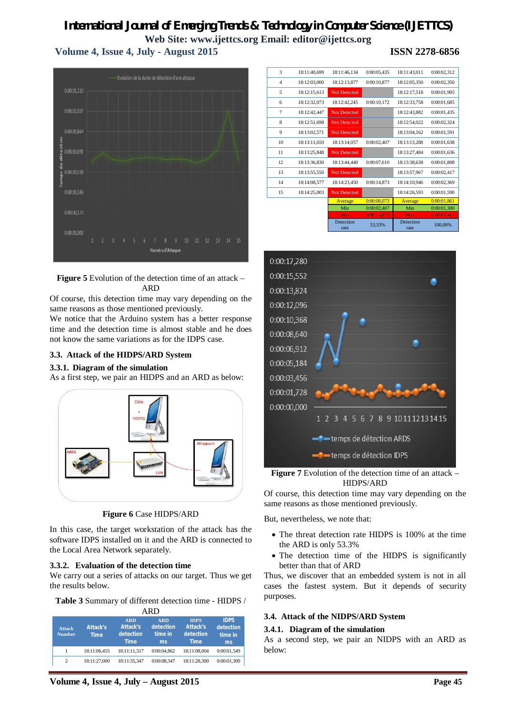**Volume 4, Issue 4, July - August 2015 ISSN 2278-6856**



**Figure 5** Evolution of the detection time of an attack – ARD

Of course, this detection time may vary depending on the same reasons as those mentioned previously.

We notice that the Arduino system has a better response time and the detection time is almost stable and he does not know the same variations as for the IDPS case.

#### **3.3. Attack of the HIDPS/ARD System**

#### **3.3.1. Diagram of the simulation**

As a first step, we pair an HIDPS and an ARD as below:



**Figure 6** Case HIDPS/ARD

In this case, the target workstation of the attack has the software IDPS installed on it and the ARD is connected to the Local Area Network separately.

#### **3.3.2. Evaluation of the detection time**

We carry out a series of attacks on our target. Thus we get the results below.

**Table 3** Summary of different detection time - HIDPS /

| ARD                            |                         |                                                           |                                          |                                                            |                                           |  |
|--------------------------------|-------------------------|-----------------------------------------------------------|------------------------------------------|------------------------------------------------------------|-------------------------------------------|--|
| <b>Attack</b><br><b>Number</b> | Attack's<br><b>Time</b> | <b>ARD</b><br><b>Attack's</b><br>detection<br><b>Time</b> | <b>ARD</b><br>detection<br>time in<br>ms | <b>IDPS</b><br><b>Attack's</b><br>detection<br><b>Time</b> | <b>IDPS</b><br>detection<br>time in<br>ms |  |
| 1                              | 18:11:06.455            | 18:11:11.317                                              | 0:00:04.862                              | 18:11:08.004                                               | 0:00:01,549                               |  |
| 2                              | 18:11:27.000            | 18:11:35.347                                              | 0:00:08.347                              | 18:11:28.300                                               | 0:00:01,300                               |  |

| 3              | 18:11:40,699 | 18:11:46,134        | 0:00:05,435 | 18:11:43,011      | 0:00:02,312 |
|----------------|--------------|---------------------|-------------|-------------------|-------------|
| $\overline{4}$ | 18:12:03,000 | 18:12:13,877        | 0:00:10,877 | 18:12:05,350      | 0:00:02,350 |
| 5              | 18:12:15,613 | <b>Not Detected</b> |             | 18:12:17,518      | 0:00:01,905 |
| 6              | 18:12:32,073 | 18:12:42,245        | 0:00:10,172 | 18:12:33,758      | 0:00:01,685 |
| $\overline{7}$ | 18:12:42,447 | <b>Not Detected</b> |             | 18:12:43,882      | 0:00:01,435 |
| 8              | 18:12:51,698 | <b>Not Detected</b> |             | 18:12:54,022      | 0:00:02,324 |
| 9              | 18:13:02,571 | <b>Not Detected</b> |             | 18:13:04,162      | 0:00:01,591 |
| 10             | 18:13:11,650 | 18:13:14,057        | 0:00:02,407 | 18:13:13,288      | 0:00:01,638 |
| 11             | 18:13:25,848 | <b>Not Detected</b> |             | 18:13:27,484      | 0:00:01,636 |
| 12             | 18:13:36,830 | 18:13:44,440        | 0:00:07,610 | 18:13:38,638      | 0:00:01,808 |
| 13             | 18:13:55,550 | <b>Not Detected</b> |             | 18:13:57,967      | 0:00:02,417 |
| 14             | 18:14:08,577 | 18:14:23,450        | 0:00:14,873 | 18:14:10.946      | 0:00:02,369 |
| 15             | 18:14:25,003 | <b>Not Detected</b> |             | 18:14:26,593      | 0:00:01,590 |
|                |              | Average             | 0:00:08,073 | Average           | 0:00:01,861 |
|                |              | Min                 | 0:00:02,407 | Min               | 0:00:01,300 |
|                |              | <b>Max</b>          | 0:00:14,873 | <b>Max</b>        | 0:00:02,417 |
|                |              | Detection<br>rate   | 53,33%      | Detection<br>rate | 100,00%     |
|                |              |                     |             |                   |             |



**Figure 7** Evolution of the detection time of an attack – HIDPS/ARD

Of course, this detection time may vary depending on the same reasons as those mentioned previously.

But, nevertheless, we note that:

- The threat detection rate HIDPS is 100% at the time the ARD is only 53.3%
- The detection time of the HIDPS is significantly better than that of ARD

Thus, we discover that an embedded system is not in all cases the fastest system. But it depends of security purposes.

#### **3.4. Attack of the NIDPS/ARD System**

#### **3.4.1. Diagram of the simulation**

As a second step, we pair an NIDPS with an ARD as below:

**Volume 4, Issue 4, July – August 2015 Page 45**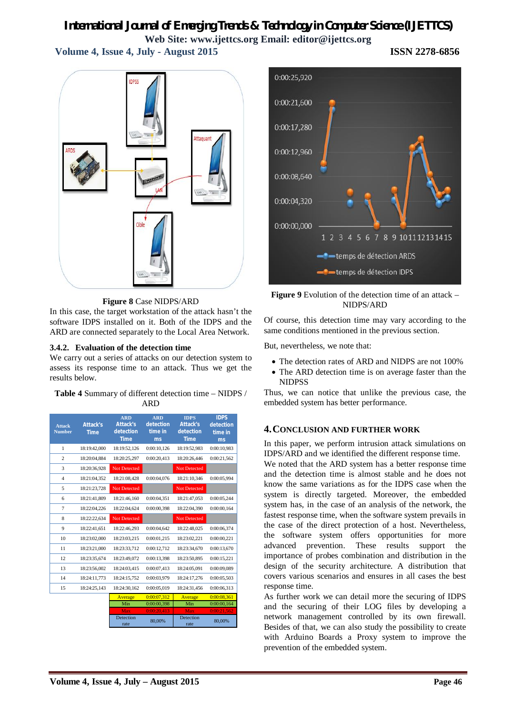**Volume 4, Issue 4, July - August 2015 ISSN 2278-6856**

ttaguar

**Figure 8** Case NIDPS/ARD

In this case, the target workstation of the attack hasn't the software IDPS installed on it. Both of the IDPS and the ARD are connected separately to the Local Area Network.

#### **3.4.2. Evaluation of the detection time**

We carry out a series of attacks on our detection system to assess its response time to an attack. Thus we get the results below.

#### **Table 4** Summary of different detection time – NIDPS / ARD

| <b>Attack</b><br><b>Number</b> | <b>Attack's</b><br><b>Time</b> | <b>ARD</b><br><b>Attack's</b><br>detection<br><b>Time</b> | <b>ARD</b><br>detection<br>time in<br>ms | <b>IDPS</b><br><b>Attack's</b><br>detection<br><b>Time</b> | <b>IDPS</b><br>detection<br>time in<br>ms |
|--------------------------------|--------------------------------|-----------------------------------------------------------|------------------------------------------|------------------------------------------------------------|-------------------------------------------|
| 1                              | 18:19:42.000                   | 18:19:52.126                                              | 0:00:10.126                              | 18:19:52.983                                               | 0:00:10.983                               |
| $\overline{c}$                 | 18:20:04.884                   | 18:20:25,297                                              | 0:00:20,413                              | 18:20:26,446                                               | 0:00:21,562                               |
| 3                              | 18:20:36,928                   | Not Detected                                              |                                          | Not Detected                                               |                                           |
| $\overline{4}$                 | 18:21:04.352                   | 18:21:08.428                                              | 0:00:04.076                              | 18:21:10.346                                               | 0:00:05,994                               |
| 5                              | 18:21:23.728                   | Not Detected                                              |                                          | <b>Not Detected</b>                                        |                                           |
| 6                              | 18:21:41.809                   | 18:21:46.160                                              | 0:00:04.351                              | 18:21:47.053                                               | 0:00:05.244                               |
| 7                              | 18:22:04,226                   | 18:22:04.624                                              | 0:00:00.398                              | 18:22:04.390                                               | 0:00:00.164                               |
| 8                              | 18:22:22,634                   | Not Detected                                              |                                          | Not Detected                                               |                                           |
| 9                              | 18:22:41.651                   | 18:22:46.293                                              | 0:00:04.642                              | 18:22:48.025                                               | 0:00:06.374                               |
| 10                             | 18:23:02.000                   | 18:23:03.215                                              | 0:00:01,215                              | 18:23:02.221                                               | 0:00:00,221                               |
| 11                             | 18:23:21,000                   | 18:23:33,712                                              | 0:00:12,712                              | 18:23:34,670                                               | 0:00:13,670                               |
| 12                             | 18:23:35.674                   | 18:23:49.072                                              | 0:00:13.398                              | 18:23:50.895                                               | 0:00:15,221                               |
| 13                             | 18:23:56.002                   | 18:24:03.415                                              | 0:00:07.413                              | 18:24:05.091                                               | 0:00:09.089                               |
| 14                             | 18:24:11,773                   | 18:24:15,752                                              | 0:00:03,979                              | 18:24:17,276                                               | 0:00:05,503                               |
| 15                             | 18:24:25,143                   | 18:24:30,162                                              | 0:00:05,019                              | 18:24:31.456                                               | 0:00:06,313                               |
|                                |                                | Average                                                   | 0:00:07.312                              | Average                                                    | 0:00:08.361                               |
|                                |                                | Min                                                       | 0:00:00,398                              | Min                                                        | 0:00:00,164                               |
|                                |                                | Max                                                       | 0:00:20,413                              | Max                                                        | 0:00:21,562                               |
|                                |                                | Detection<br>rate                                         | 80,00%                                   | Detection<br>rate                                          | 80,00%                                    |



**Figure 9** Evolution of the detection time of an attack – NIDPS/ARD

Of course, this detection time may vary according to the same conditions mentioned in the previous section.

But, nevertheless, we note that:

- The detection rates of ARD and NIDPS are not 100%
- The ARD detection time is on average faster than the **NIDPSS**

Thus, we can notice that unlike the previous case, the embedded system has better performance.

### **4.CONCLUSION AND FURTHER WORK**

In this paper, we perform intrusion attack simulations on IDPS/ARD and we identified the different response time.

We noted that the ARD system has a better response time and the detection time is almost stable and he does not know the same variations as for the IDPS case when the system is directly targeted. Moreover, the embedded system has, in the case of an analysis of the network, the fastest response time, when the software system prevails in the case of the direct protection of a host. Nevertheless, the software system offers opportunities for more advanced prevention. These results support the importance of probes combination and distribution in the design of the security architecture. A distribution that covers various scenarios and ensures in all cases the best response time.

As further work we can detail more the securing of IDPS and the securing of their LOG files by developing a network management controlled by its own firewall. Besides of that, we can also study the possibility to create with Arduino Boards a Proxy system to improve the prevention of the embedded system.